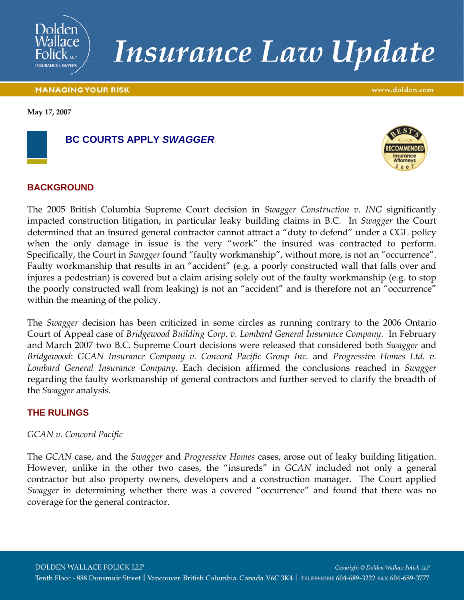

# **Insurance Law Update**

#### **MANAGING YOUR RISK**

www.dolden.com

**May 17, 2007**



### **BC COURTS APPLY** *SWAGGER*



### **BACKGROUND**

The 2005 British Columbia Supreme Court decision in *Swagger Construction v. ING* significantly impacted construction litigation, in particular leaky building claims in B.C. In *Swagger* the Court determined that an insured general contractor cannot attract a "duty to defend" under a CGL policy when the only damage in issue is the very "work" the insured was contracted to perform. Specifically, the Court in *Swagger* found "faulty workmanship", without more, is not an "occurrence". Faulty workmanship that results in an "accident" (e.g. a poorly constructed wall that falls over and injures a pedestrian) is covered but a claim arising solely out of the faulty workmanship (e.g. to stop the poorly constructed wall from leaking) is not an "accident" and is therefore not an "occurrence" within the meaning of the policy.

The *Swagger* decision has been criticized in some circles as running contrary to the 2006 Ontario Court of Appeal case of *Bridgewood Building Corp. v. Lombard General Insurance Company*. In February and March 2007 two B.C. Supreme Court decisions were released that considered both *Swagger* and *Bridgewood*: *GCAN Insurance Company v. Concord Pacific Group Inc.* and *Progressive Homes Ltd. v. Lombard General Insurance Company*. Each decision affirmed the conclusions reached in *Swagger* regarding the faulty workmanship of general contractors and further served to clarify the breadth of the *Swagger* analysis.

### **THE RULINGS**

### *GCAN v. Concord Pacific*

The *GCAN* case, and the *Swagger* and *Progressive Homes* cases, arose out of leaky building litigation. However, unlike in the other two cases, the "insureds" in *GCAN* included not only a general contractor but also property owners, developers and a construction manager. The Court applied *Swagger* in determining whether there was a covered "occurrence" and found that there was no coverage for the general contractor.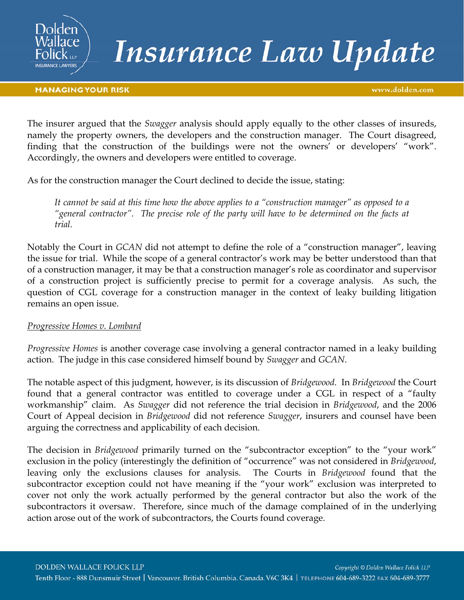

## **Insurance Law Update**

www.dolden.com

The insurer argued that the *Swagger* analysis should apply equally to the other classes of insureds, namely the property owners, the developers and the construction manager. The Court disagreed, finding that the construction of the buildings were not the owners' or developers' "work". Accordingly, the owners and developers were entitled to coverage.

As for the construction manager the Court declined to decide the issue, stating:

*It cannot be said at this time how the above applies to a "construction manager" as opposed to a "general contractor". The precise role of the party will have to be determined on the facts at trial.*

Notably the Court in *GCAN* did not attempt to define the role of a "construction manager", leaving the issue for trial. While the scope of a general contractor's work may be better understood than that of a construction manager, it may be that a construction manager's role as coordinator and supervisor of a construction project is sufficiently precise to permit for a coverage analysis. As such, the question of CGL coverage for a construction manager in the context of leaky building litigation remains an open issue.

### *Progressive Homes v. Lombard*

*Progressive Homes* is another coverage case involving a general contractor named in a leaky building action. The judge in this case considered himself bound by *Swagger* and *GCAN*.

The notable aspect of this judgment, however, is its discussion of *Bridgewood*. In *Bridgewood* the Court found that a general contractor was entitled to coverage under a CGL in respect of a "faulty workmanship" claim. As *Swagger* did not reference the trial decision in *Bridgewood*, and the 2006 Court of Appeal decision in *Bridgewood* did not reference *Swagger*, insurers and counsel have been arguing the correctness and applicability of each decision.

The decision in *Bridgewood* primarily turned on the "subcontractor exception" to the "your work" exclusion in the policy (interestingly the definition of "occurrence" was not considered in *Bridgewood*, leaving only the exclusions clauses for analysis. The Courts in *Bridgewood* found that the subcontractor exception could not have meaning if the "your work" exclusion was interpreted to cover not only the work actually performed by the general contractor but also the work of the subcontractors it oversaw. Therefore, since much of the damage complained of in the underlying action arose out of the work of subcontractors, the Courts found coverage.